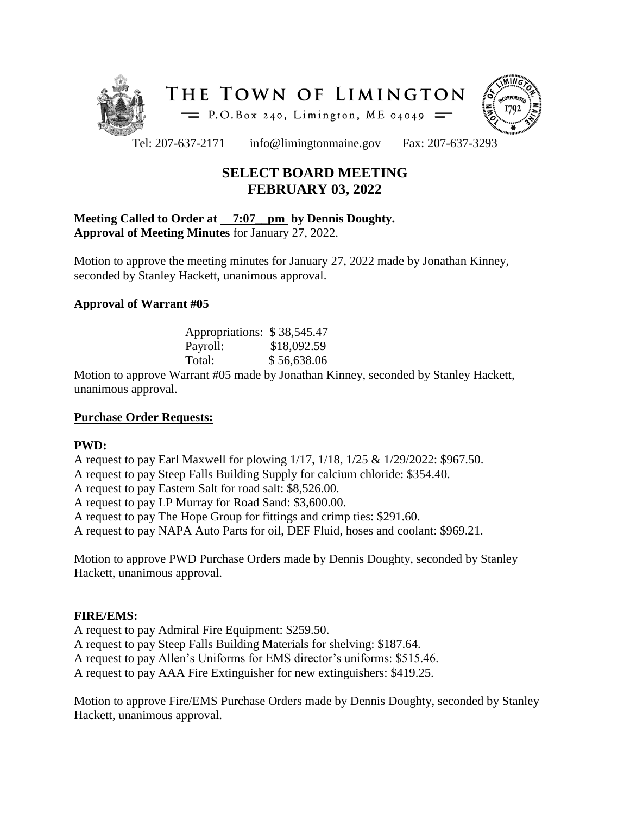



Tel: 207-637-2171 info@limingtonmaine.gov Fax: 207-637-3293

# **SELECT BOARD MEETING FEBRUARY 03, 2022**

#### **Meeting Called to Order at 7:07\_\_pm by Dennis Doughty. Approval of Meeting Minutes** for January 27, 2022.

Motion to approve the meeting minutes for January 27, 2022 made by Jonathan Kinney, seconded by Stanley Hackett, unanimous approval.

### **Approval of Warrant #05**

| Appropriations: \$38,545.47 |             |
|-----------------------------|-------------|
| Payroll:                    | \$18,092.59 |
| Total:                      | \$56,638.06 |

Motion to approve Warrant #05 made by Jonathan Kinney, seconded by Stanley Hackett, unanimous approval.

# **Purchase Order Requests:**

#### **PWD:**

A request to pay Earl Maxwell for plowing 1/17, 1/18, 1/25 & 1/29/2022: \$967.50. A request to pay Steep Falls Building Supply for calcium chloride: \$354.40. A request to pay Eastern Salt for road salt: \$8,526.00. A request to pay LP Murray for Road Sand: \$3,600.00. A request to pay The Hope Group for fittings and crimp ties: \$291.60. A request to pay NAPA Auto Parts for oil, DEF Fluid, hoses and coolant: \$969.21.

Motion to approve PWD Purchase Orders made by Dennis Doughty, seconded by Stanley Hackett, unanimous approval.

# **FIRE/EMS:**

A request to pay Admiral Fire Equipment: \$259.50. A request to pay Steep Falls Building Materials for shelving: \$187.64. A request to pay Allen's Uniforms for EMS director's uniforms: \$515.46. A request to pay AAA Fire Extinguisher for new extinguishers: \$419.25.

Motion to approve Fire/EMS Purchase Orders made by Dennis Doughty, seconded by Stanley Hackett, unanimous approval.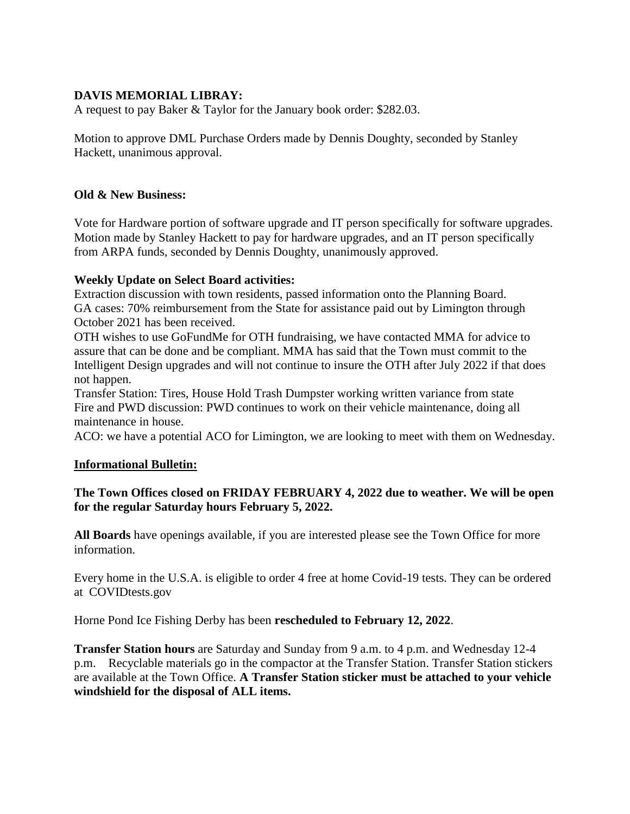# **DAVIS MEMORIAL LIBRAY:**

A request to pay Baker & Taylor for the January book order: \$282.03.

Motion to approve DML Purchase Orders made by Dennis Doughty, seconded by Stanley Hackett, unanimous approval.

### **Old & New Business:**

Vote for Hardware portion of software upgrade and IT person specifically for software upgrades. Motion made by Stanley Hackett to pay for hardware upgrades, and an IT person specifically from ARPA funds, seconded by Dennis Doughty, unanimously approved.

### **Weekly Update on Select Board activities:**

Extraction discussion with town residents, passed information onto the Planning Board. GA cases: 70% reimbursement from the State for assistance paid out by Limington through October 2021 has been received.

OTH wishes to use GoFundMe for OTH fundraising, we have contacted MMA for advice to assure that can be done and be compliant. MMA has said that the Town must commit to the Intelligent Design upgrades and will not continue to insure the OTH after July 2022 if that does not happen.

Transfer Station: Tires, House Hold Trash Dumpster working written variance from state Fire and PWD discussion: PWD continues to work on their vehicle maintenance, doing all maintenance in house.

ACO: we have a potential ACO for Limington, we are looking to meet with them on Wednesday.

#### **Informational Bulletin:**

### **The Town Offices closed on FRIDAY FEBRUARY 4, 2022 due to weather. We will be open for the regular Saturday hours February 5, 2022.**

**All Boards** have openings available, if you are interested please see the Town Office for more information.

Every home in the U.S.A. is eligible to order 4 free at home Covid-19 tests. They can be ordered at COVIDtests.gov

Horne Pond Ice Fishing Derby has been **rescheduled to February 12, 2022**.

**Transfer Station hours** are Saturday and Sunday from 9 a.m. to 4 p.m. and Wednesday 12-4 p.m. Recyclable materials go in the compactor at the Transfer Station. Transfer Station stickers are available at the Town Office. **A Transfer Station sticker must be attached to your vehicle windshield for the disposal of ALL items.**